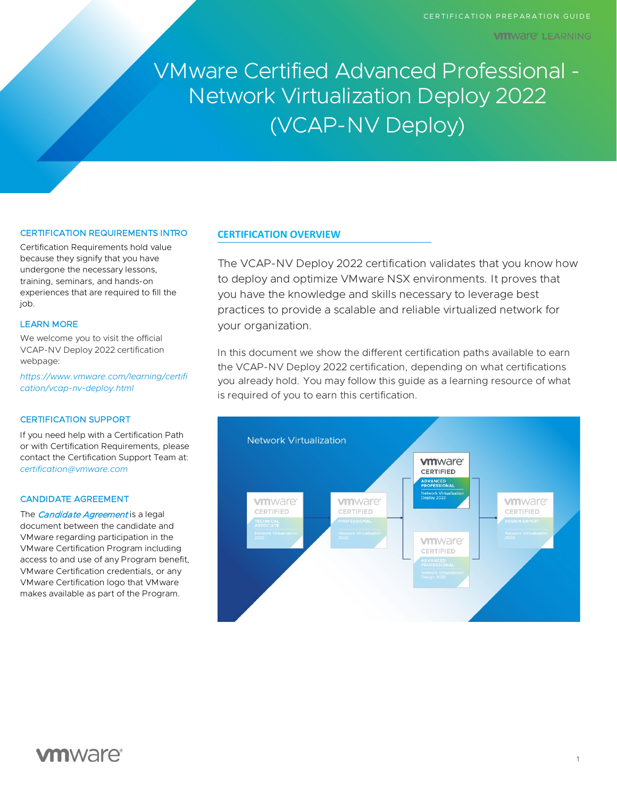**VIII**WAI'e' LEARNING

VMware Certified Advanced Professional - Network Virtualization Deploy 2022 (VCAP-NV Deploy)

# CERTIFICATION REQUIREMENTS INTRO

Certification Requirements hold value because they signify that you have undergone the necessary lessons, training, seminars, and hands-on experiences that are required to fill the iob.

### LEARN MORE

We welcome you to visit the official VCAP-NV Deploy 2022 certification webpage:

*[https://www.vmware.com/learning/certifi](https://www.vmware.com/learning/certification/vcap-nv-deploy.html) [cation/vcap-nv-deploy.html](https://www.vmware.com/learning/certification/vcap-nv-deploy.html)*

### CERTIFICATION SUPPORT

If you need help with a Certification Path or with Certification Requirements, please contact the Certification Support Team at: *[certification@vmware.com](mailto:certification@vmware.com)*

## CANDIDATE AGREEMENT

The *[Candidate Agreement](https://www.vmware.com/content/dam/digitalmarketing/vmware/en/pdf/certification/vmw-certification-candidate-agreement.pdf)* is a legal document between the candidate and VMware regarding participation in the VMware Certification Program including access to and use of any Program benefit, VMware Certification credentials, or any VMware Certification logo that VMware makes available as part of the Program.

### **CERTIFICATION OVERVIEW**

The VCAP-NV Deploy 2022 certification validates that you know how to deploy and optimize VMware NSX environments. It proves that you have the knowledge and skills necessary to leverage best practices to provide a scalable and reliable virtualized network for your organization.

In this document we show the different certification paths available to earn the VCAP-NV Deploy 2022 certification, depending on what certifications you already hold. You may follow this guide as a learning resource of what is required of you to earn this certification.

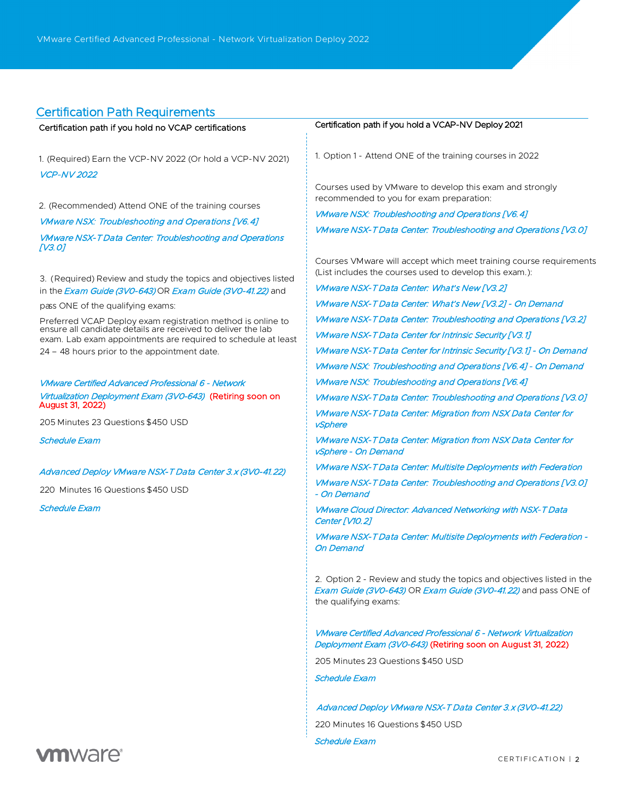# Certification Path Requirements

| Certification path if you hold no VCAP certifications                                                                       | Certification path if you hold a VCAP-NV Deploy 2021                                                                                                              |
|-----------------------------------------------------------------------------------------------------------------------------|-------------------------------------------------------------------------------------------------------------------------------------------------------------------|
| 1. (Required) Earn the VCP-NV 2022 (Or hold a VCP-NV 2021)<br><b>VCP-NV 2022</b>                                            | 1. Option 1 - Attend ONE of the training courses in 2022                                                                                                          |
| 2. (Recommended) Attend ONE of the training courses                                                                         | Courses used by VM ware to develop this exam and strongly<br>recommended to you for exam preparation:                                                             |
| VMware NSX: Troubleshooting and Operations [V6.4]                                                                           | <b>VMware NSX: Troubleshooting and Operations [V6.4]</b>                                                                                                          |
| <b>VMware NSX-T Data Center: Troubleshooting and Operations</b><br>[V3.O]                                                   | VMware NSX-T Data Center: Troubleshooting and Operations [V3.0]                                                                                                   |
| 3. (Required) Review and study the topics and objectives listed                                                             | Courses VM ware will accept which meet training course requirements<br>(List includes the courses used to develop this exam.):                                    |
| in the <i>Exam Guide (3V0-643)</i> OR <i>Exam Guide (3V0-41.22)</i> and                                                     | <i>VMware NSX-T Data Center: What's New [V3.2]</i>                                                                                                                |
| pass ONE of the qualifying exams:                                                                                           | VMware NSX-T Data Center: What's New [V3.2] - On Demand                                                                                                           |
| Preferred VCAP Deploy exam registration method is online to<br>ensure all candidate details are received to deliver the lab | <b>VMware NSX-T Data Center: Troubleshooting and Operations [V3.2]</b>                                                                                            |
| exam. Lab exam appointments are required to schedule at least                                                               | <i>VMware NSX-T Data Center for Intrinsic Security [V3.1]</i>                                                                                                     |
| 24 - 48 hours prior to the appointment date.                                                                                | VMware NSX-T Data Center for Intrinsic Security [V3.1] - On Demand                                                                                                |
|                                                                                                                             | VMware NSX: Troubleshooting and Operations [V6.4] - On Demand                                                                                                     |
| <b>VMware Certified Advanced Professional 6 - Network</b>                                                                   | VMware NSX: Troubleshooting and Operations [V6.4]                                                                                                                 |
| Virtualization Deployment Exam (3V0-643) (Retiring soon on<br>August 31, 2022)                                              | VMware NSX-T Data Center: Troubleshooting and Operations [V3.0]                                                                                                   |
| 205 Minutes 23 Questions \$450 USD                                                                                          | <b>VMware NSX-TData Center: Migration from NSX Data Center for</b><br>vSphere                                                                                     |
| Schedule Exam                                                                                                               | <b>VMware NSX-TData Center: Migration from NSX Data Center for</b><br>vSphere - On Demand                                                                         |
| Advanced Deploy VMware NSX-T Data Center 3.x (3V0-41.22)                                                                    | <b>VMware NSX-T Data Center: Multisite Deployments with Federation</b>                                                                                            |
| 220 Minutes 16 Questions \$450 USD                                                                                          | VMware NSX-T Data Center: Troubleshooting and Operations [V3.0]<br>- On Demand                                                                                    |
| Schedule Exam                                                                                                               | <b>VMware Cloud Director: Advanced Networking with NSX-T Data</b><br>Center [V10.2]                                                                               |
|                                                                                                                             | VMware NSX-T Data Center: Multisite Deployments with Federation -<br>On Demand                                                                                    |
|                                                                                                                             | 2. Option 2 - Review and study the topics and objectives listed in the<br>Exam Guide (3V0-643) OR Exam Guide (3V0-41.22) and pass ONE of<br>the qualifying exams: |
|                                                                                                                             | VMware Certified Advanced Professional 6 - Network Virtualization<br>Deployment Exam (3V0-643) (Retiring soon on August 31, 2022)                                 |
|                                                                                                                             | 205 Minutes 23 Questions \$450 USD                                                                                                                                |
|                                                                                                                             | <b>Schedule Exam</b>                                                                                                                                              |
|                                                                                                                             | Advanced Deploy VMware NSX-T Data Center 3.x (3V0-41.22)                                                                                                          |
|                                                                                                                             | 220 Minutes 16 Questions \$450 USD                                                                                                                                |
|                                                                                                                             | <b>Schedule Exam</b>                                                                                                                                              |

# **vm**ware<sup>®</sup>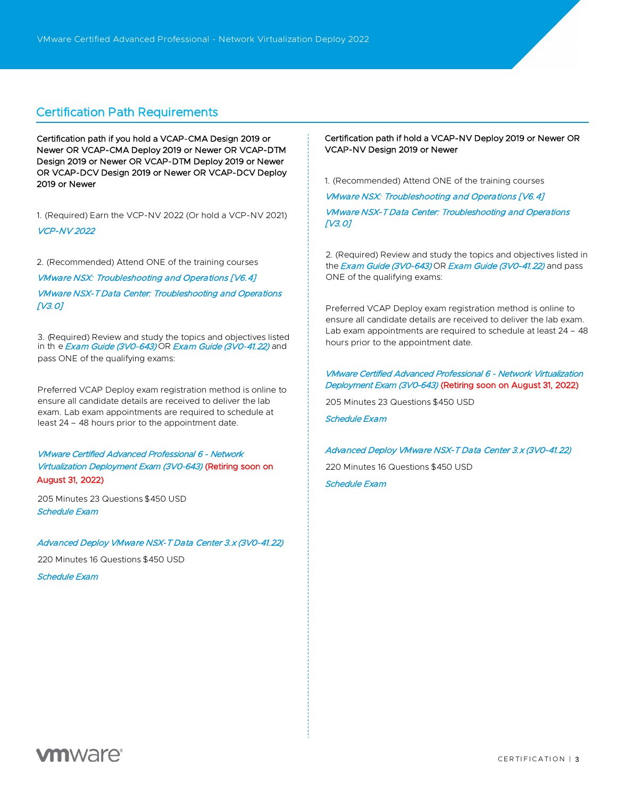# Certification Path Requirements

Certification path if you hold a VCAP-CMA Design 2019 or Newer OR VCAP-CMA Deploy 2019 or Newer OR VCAP-DTM Design 2019 or Newer OR VCAP-DTM Deploy 2019 or Newer OR VCAP-DCV Design 2019 or Newer OR VCAP-DCV Deploy 2019 or Newer

1. (Required) Earn the VCP-NV 2022 (Or hold a VCP-NV 2021) [VCP-NV 2022](https://www.vmware.com/learning/certification/vcp-nv-nsxt.html)

2. (Recommended) Attend ONE of the training courses

[VMware NSX: Troubleshooting and Operations \[V6.4\]](https://mylearn.vmware.com/mgrreg/courses.cfm?ui=www_edu&a=one&id_subject=83188)  [VMware NSX-T Data Center: Troubleshooting and Operations](https://mylearn.vmware.com/mgrReg/courses.cfm?ui=www_edu&a=one&id_subject=93814)  [\[V3.0\]](https://mylearn.vmware.com/mgrReg/courses.cfm?ui=www_edu&a=one&id_subject=93814)

3. (Required) Review and study the topics and objectives listed in th e [Exam Guide \(3V0-643\)](https://www.vmware.com/content/dam/digitalmarketing/vmware/en/pdf/certification/vmw-vcap6-nv-deploy-3v0-643-guide.pdf) OR [Exam Guide \(3V0-41.22\)](https://www.vmware.com/content/dam/digitalmarketing/vmware/en/pdf/certification/vmw-vcap-nv-deploy-exam-guide.pdf) and pass ONE of the qualifying exams:

Preferred VCAP Deploy exam registration method is online to ensure all candidate details are received to deliver the lab exam. Lab exam appointments are required to schedule at least 24 – 48 hours prior to the appointment date.

[VMware Certified Advanced Professional 6 - Network](https://www.vmware.com/learning/certification/vcap6-nv-deploy-exam.html) [Virtualization Deployment Exam \(3V0-643\)](https://www.vmware.com/learning/certification/vcap6-nv-deploy-exam.html) (Retiring soon on August 31, 2022)

205 Minutes 23 Questions \$450 USD [Schedule Exam](http://mylearn.vmware.com/quiz.cfm?item=75261) 

### [Advanced Deploy VMware NSX-T Data Center 3.x \(3V0-41.22\)](https://www.vmware.com/learning/certification/vcap-nv-deploy-3x-exam.html)

220 Minutes 16 Questions \$450 USD

[Schedule Exam](http://mylearn.vmware.com/quiz.cfm?item=98366)

# Certification path if hold a VCAP-NV Deploy 2019 or Newer OR VCAP-NV Design 2019 or Newer

1. (Recommended) Attend ONE of the training courses

[VMware NSX: Troubleshooting and Operations \[V6.4\]](https://mylearn.vmware.com/mgrreg/courses.cfm?ui=www_edu&a=one&id_subject=83188)  [VMware NSX-T Data Center: Troubleshooting and Operations](https://mylearn.vmware.com/mgrReg/courses.cfm?ui=www_edu&a=one&id_subject=93814)  [\[V3.0\]](https://mylearn.vmware.com/mgrReg/courses.cfm?ui=www_edu&a=one&id_subject=93814)

2. (Required) Review and study the topics and objectives listed in the **[Exam Guide \(3V0-643\)](https://www.vmware.com/content/dam/digitalmarketing/vmware/en/pdf/certification/vmw-vcap6-nv-deploy-3v0-643-guide.pdf) OR Exam Guide (3V0-41.22)** and pass ONE of the qualifying exams:

Preferred VCAP Deploy exam registration method is online to ensure all candidate details are received to deliver the lab exam. Lab exam appointments are required to schedule at least 24 – 48 hours prior to the appointment date.

# [VMware Certified Advanced Professional 6 - Network Virtualization](https://www.vmware.com/learning/certification/vcap6-nv-deploy-exam.html)  [Deployment Exam \(3V0-643\)](https://www.vmware.com/learning/certification/vcap6-nv-deploy-exam.html) (Retiring soon on August 31, 2022)

205 Minutes 23 Questions \$450 USD

[Schedule Exam](http://mylearn.vmware.com/quiz.cfm?item=75261) 

### [Advanced Deploy VMware NSX-T Data Center 3.x \(3V0-41.22\)](https://www.vmware.com/learning/certification/vcap-nv-deploy-3x-exam.html)

220 Minutes 16 Questions \$450 USD [Schedule Exam](http://mylearn.vmware.com/quiz.cfm?item=98366)

**vm**ware<sup>®</sup>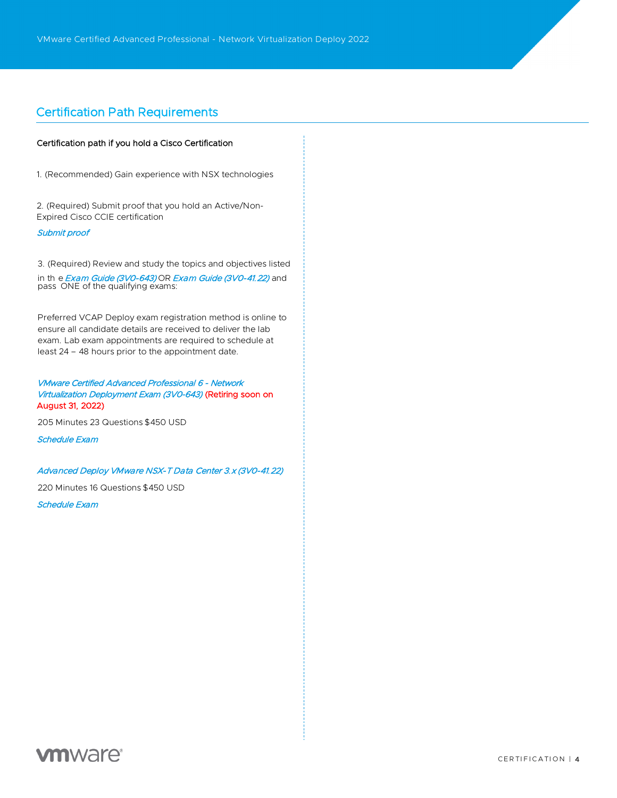# Certification Path Requirements

### Certification path if you hold a Cisco Certification

1. (Recommended) Gain experience with NSX technologies

2. (Required) Submit proof that you hold an Active/Non-Expired Cisco CCIE certification

### [Submit proof](https://www.vmware.com/learning/certification/cisco-verification-request-vcap-nv.html)

3. (Required) Review and study the topics and objectives listed in th e *[Exam Guide \(3V0-643\)](https://www.vmware.com/content/dam/digitalmarketing/vmware/en/pdf/certification/vmw-vcap6-nv-deploy-3v0-643-guide.pdf)* OR *Exam Guide (3V0-41.22)* and<br>pass ONE of the qualifying exams:

Preferred VCAP Deploy exam registration method is online to ensure all candidate details are received to deliver the lab exam. Lab exam appointments are required to schedule at least 24 – 48 hours prior to the appointment date.

# [VMware Certified Advanced Professional 6 - Network](https://www.vmware.com/learning/certification/vcap6-nv-deploy-exam.html) [Virtualization Deployment Exam \(3V0-643\)](https://www.vmware.com/learning/certification/vcap6-nv-deploy-exam.html) (Retiring soon on August 31, 2022)

205 Minutes 23 Questions \$450 USD

[Schedule Exam](http://mylearn.vmware.com/quiz.cfm?item=75261) 

### [Advanced Deploy VMware NSX-T Data Center 3.x \(3V0-41.22\)](https://www.vmware.com/learning/certification/vcap-nv-deploy-3x-exam.html)

220 Minutes 16 Questions \$450 USD

[Schedule Exam](http://mylearn.vmware.com/quiz.cfm?item=98366)